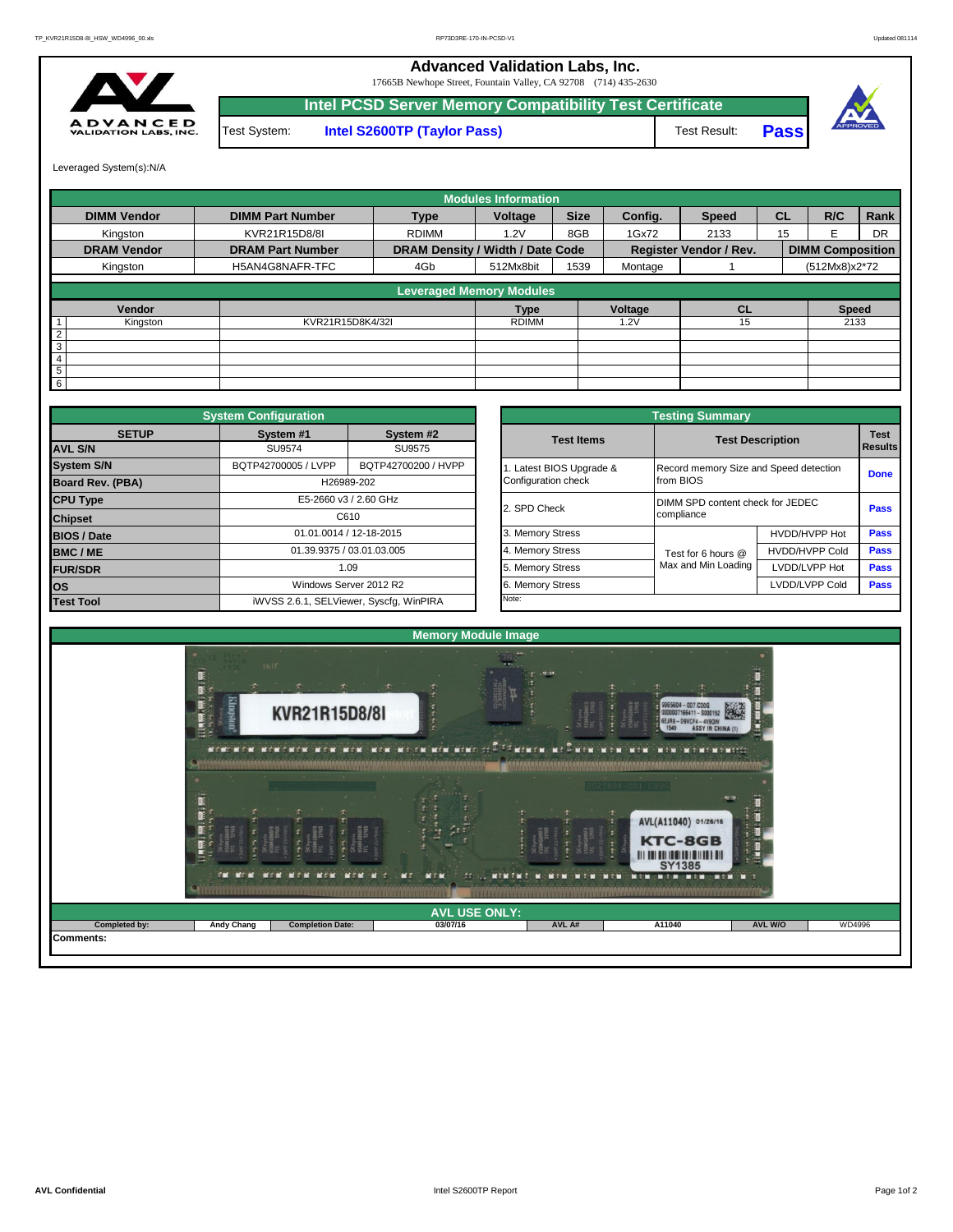## **Advanced Validation Labs, Inc.**

17665B Newhope Street, Fountain Valley, CA 92708 (714) 435-2630



Test System: **Intel S2600TP (Taylor Pass)** Test Result: **Intel PCSD Server Memory Compatibility Test Certificate Pass**



Leveraged System(s):N/A

|                    |                         |                                  | <b>Modules Information</b> |             |         |                               |           |                         |           |
|--------------------|-------------------------|----------------------------------|----------------------------|-------------|---------|-------------------------------|-----------|-------------------------|-----------|
| <b>DIMM Vendor</b> | <b>DIMM Part Number</b> | <b>Type</b>                      | Voltage                    | <b>Size</b> | Config. | <b>Speed</b>                  | <b>CL</b> | R/C                     | Rank      |
| Kingston           | KVR21R15D8/8I           | <b>RDIMM</b>                     | 1.2V                       | 8GB         | 1Gx72   | 2133                          | 15        | F                       | <b>DR</b> |
| <b>DRAM Vendor</b> | <b>DRAM Part Number</b> | DRAM Density / Width / Date Code |                            |             |         | <b>Register Vendor / Rev.</b> |           | <b>DIMM Composition</b> |           |
| Kingston           | H5AN4G8NAFR-TFC         | 4Gb                              | 512Mx8bit                  | 1539        | Montage |                               |           | (512Mx8)x2*72           |           |
|                    |                         | <b>Leveraged Memory Modules</b>  |                            |             |         |                               |           |                         |           |
| Vendor             |                         |                                  | <b>Type</b>                |             | Voltage | <b>CL</b>                     |           | <b>Speed</b>            |           |
| Kingston           | KVR21R15D8K4/32I        |                                  | <b>RDIMM</b>               |             | 1.2V    | 15                            |           | 2133                    |           |
| 2                  |                         |                                  |                            |             |         |                               |           |                         |           |
| ω                  |                         |                                  |                            |             |         |                               |           |                         |           |
| $\overline{4}$     |                         |                                  |                            |             |         |                               |           |                         |           |
| $\overline{5}$     |                         |                                  |                            |             |         |                               |           |                         |           |
| $6 \overline{6}$   |                         |                                  |                            |             |         |                               |           |                         |           |

|                    | <b>System Configuration</b> |                                         | <b>Testing Summary</b> |                                        |                         |             |  |  |  |  |  |
|--------------------|-----------------------------|-----------------------------------------|------------------------|----------------------------------------|-------------------------|-------------|--|--|--|--|--|
| <b>SETUP</b>       | System #1                   | System #2                               | <b>Test Items</b>      |                                        | <b>Test Description</b> |             |  |  |  |  |  |
| <b>AVL S/N</b>     | SU9574                      | SU9575                                  |                        |                                        | <b>Results</b>          |             |  |  |  |  |  |
| <b>System S/N</b>  | BQTP42700005 / LVPP         | BQTP42700200 / HVPP                     | Latest BIOS Upgrade &  | Record memory Size and Speed detection | <b>Done</b>             |             |  |  |  |  |  |
| Board Rev. (PBA)   |                             | H26989-202                              | Configuration check    | from BIOS                              |                         |             |  |  |  |  |  |
| <b>CPU Type</b>    |                             | E5-2660 v3 / 2.60 GHz                   | 2. SPD Check           | DIMM SPD content check for JEDEC       | Pass                    |             |  |  |  |  |  |
| <b>Chipset</b>     |                             | C610                                    |                        | compliance                             |                         |             |  |  |  |  |  |
| <b>BIOS / Date</b> |                             | 01.01.0014 / 12-18-2015                 | 3. Memory Stress       |                                        | HVDD/HVPP Hot           | Pass        |  |  |  |  |  |
| BMC/ME             |                             | 01.39.9375 / 03.01.03.005               | 4. Memory Stress       | Test for 6 hours @                     | <b>HVDD/HVPP Cold</b>   | <b>Pass</b> |  |  |  |  |  |
| <b>FUR/SDR</b>     |                             | 1.09                                    | 5. Memory Stress       | Max and Min Loading                    | LVDD/LVPP Hot           | <b>Pass</b> |  |  |  |  |  |
| <b>los</b>         |                             | Windows Server 2012 R2                  | 6. Memory Stress       |                                        | LVDD/LVPP Cold          | Pass        |  |  |  |  |  |
| <b>Test Tool</b>   |                             | iWVSS 2.6.1, SELViewer, Syscfq, WinPIRA | Note:                  |                                        |                         |             |  |  |  |  |  |

|              | <b>System Configuration</b> |                                         |                       | <b>Testing Summary</b>                 |                |                |  |  |  |
|--------------|-----------------------------|-----------------------------------------|-----------------------|----------------------------------------|----------------|----------------|--|--|--|
| <b>SETUP</b> | System #1                   | System #2                               | <b>Test Items</b>     | <b>Test Description</b>                |                | <b>Test</b>    |  |  |  |
|              | SU9574                      | SU9575                                  |                       |                                        |                | <b>Results</b> |  |  |  |
|              | BQTP42700005 / LVPP         | BQTP42700200 / HVPP                     | Latest BIOS Upgrade & | Record memory Size and Speed detection |                | <b>Done</b>    |  |  |  |
| PBA)         |                             | H26989-202                              | Configuration check   | from BIOS                              |                |                |  |  |  |
|              |                             | E5-2660 v3 / 2.60 GHz                   | 2. SPD Check          | DIMM SPD content check for JEDEC       |                |                |  |  |  |
|              |                             | C610                                    |                       | compliance                             |                | Pass           |  |  |  |
|              |                             | 01.01.0014 / 12-18-2015                 | 3. Memory Stress      |                                        | HVDD/HVPP Hot  | Pass           |  |  |  |
|              |                             | 01.39.9375 / 03.01.03.005               | 4. Memory Stress      | Test for 6 hours @                     | HVDD/HVPP Cold | Pass           |  |  |  |
|              |                             | 1.09                                    | 5. Memory Stress      | Max and Min Loading<br>LVDD/LVPP Hot   |                | Pass           |  |  |  |
|              |                             | Windows Server 2012 R2                  | 6. Memory Stress      |                                        | LVDD/LVPP Cold | <b>Pass</b>    |  |  |  |
|              |                             | iWVSS 2.6.1, SELViewer, Syscfq, WinPIRA | Note:                 |                                        |                |                |  |  |  |